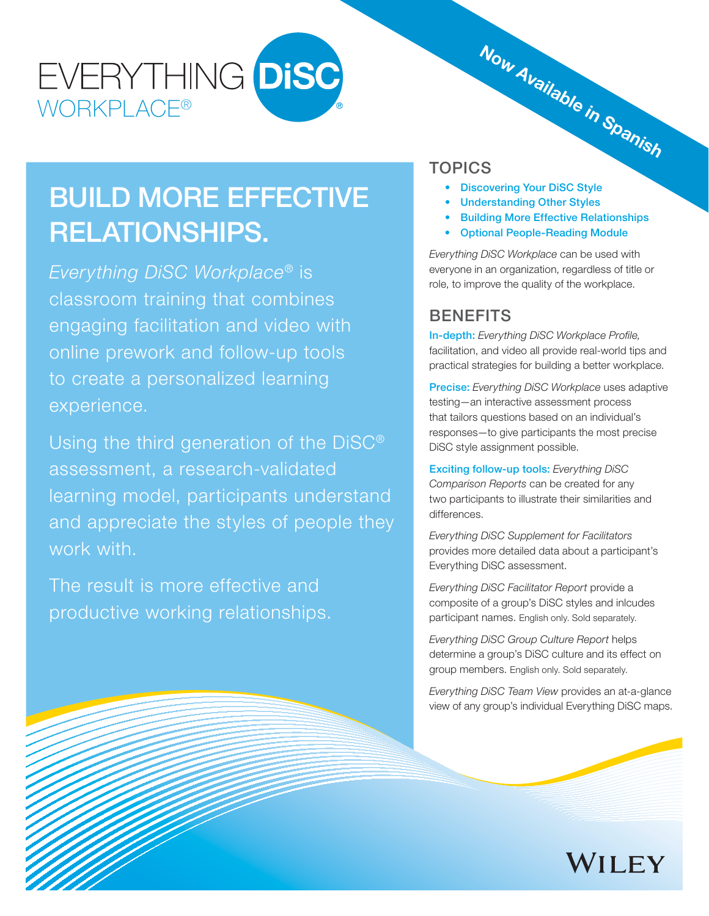# EVERYTHING DISC **WORKPLACE®**

# BUILD MORE EFFECTIVE RELATIONSHIPS.

*Everything DiSC Workplace*® is classroom training that combines engaging facilitation and video with online prework and follow-up tools to create a personalized learning experience.

Using the third generation of the DiSC® assessment, a research-validated learning model, participants understand and appreciate the styles of people they work with.

The result is more effective and productive working relationships.

# TOPICS Now Available in Spanish

- Discovering Your DiSC Style
- Understanding Other Styles
- Building More Effective Relationships
- Optional People-Reading Module

*Everything DiSC Workplace* can be used with everyone in an organization, regardless of title or role, to improve the quality of the workplace.

## **BENEFITS**

**In-depth:** Everything DiSC Workplace Profile, facilitation, and video all provide real-world tips and practical strategies for building a better workplace.

Precise: *Everything DiSC Workplace* uses adaptive testing—an interactive assessment process that tailors questions based on an individual's responses—to give participants the most precise DiSC style assignment possible.

Exciting follow-up tools: *Everything DiSC Comparison Reports* can be created for any two participants to illustrate their similarities and differences.

*Everything DiSC Supplement for Facilitators*  provides more detailed data about a participant's Everything DiSC assessment.

*Everything DiSC Facilitator Report* provide a composite of a group's DiSC styles and inlcudes participant names. English only. Sold separately.

*Everything DiSC Group Culture Report* helps determine a group's DiSC culture and its effect on group members. English only. Sold separately.

*Everything DiSC Team View* provides an at-a-glance view of any group's individual Everything DiSC maps.